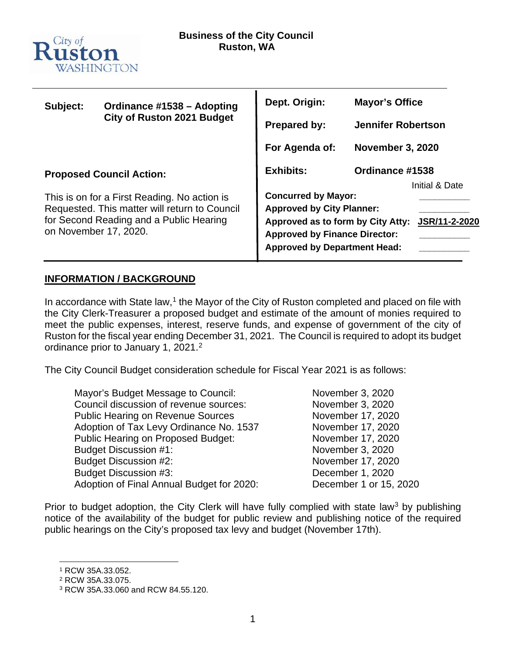

| Subject:                                                                                                                                                          | Ordinance #1538 - Adopting<br><b>City of Ruston 2021 Budget</b> | Dept. Origin:                                                                                                                                                                      | <b>Mayor's Office</b>             |               |
|-------------------------------------------------------------------------------------------------------------------------------------------------------------------|-----------------------------------------------------------------|------------------------------------------------------------------------------------------------------------------------------------------------------------------------------------|-----------------------------------|---------------|
|                                                                                                                                                                   |                                                                 | <b>Prepared by:</b>                                                                                                                                                                | <b>Jennifer Robertson</b>         |               |
|                                                                                                                                                                   |                                                                 | For Agenda of:                                                                                                                                                                     | <b>November 3, 2020</b>           |               |
| <b>Proposed Council Action:</b>                                                                                                                                   |                                                                 | <b>Exhibits:</b>                                                                                                                                                                   | Ordinance #1538<br>Initial & Date |               |
| This is on for a First Reading. No action is<br>Requested. This matter will return to Council<br>for Second Reading and a Public Hearing<br>on November 17, 2020. |                                                                 | <b>Concurred by Mayor:</b><br><b>Approved by City Planner:</b><br>Approved as to form by City Atty:<br><b>Approved by Finance Director:</b><br><b>Approved by Department Head:</b> |                                   | JSR/11-2-2020 |

## **INFORMATION / BACKGROUND**

In accordance with State law,<sup>[1](#page-0-0)</sup> the Mayor of the City of Ruston completed and placed on file with the City Clerk-Treasurer a proposed budget and estimate of the amount of monies required to meet the public expenses, interest, reserve funds, and expense of government of the city of Ruston for the fiscal year ending December 31, 2021. The Council is required to adopt its budget ordinance prior to January 1, 2021. [2](#page-0-1)

The City Council Budget consideration schedule for Fiscal Year 2021 is as follows:

Mayor's Budget Message to Council: November 3, 2020 Council discussion of revenue sources: November 3, 2020 Public Hearing on Revenue Sources November 17, 2020 Adoption of Tax Levy Ordinance No. 1537 November 17, 2020 Public Hearing on Proposed Budget: November 17, 2020 Budget Discussion #1: November 3, 2020 Budget Discussion #2: November 17, 2020 Budget Discussion #3: December 1, 2020 Adoption of Final Annual Budget for 2020: December 1 or 15, 2020

Prior to budget adoption, the City Clerk will have fully complied with state law<sup>[3](#page-0-2)</sup> by publishing notice of the availability of the budget for public review and publishing notice of the required public hearings on the City's proposed tax levy and budget (November 17th).

<span id="page-0-0"></span><sup>1</sup> RCW 35A.33.052.

<sup>2</sup> RCW 35A.33.075.

<span id="page-0-2"></span><span id="page-0-1"></span><sup>3</sup> RCW 35A.33.060 and RCW 84.55.120.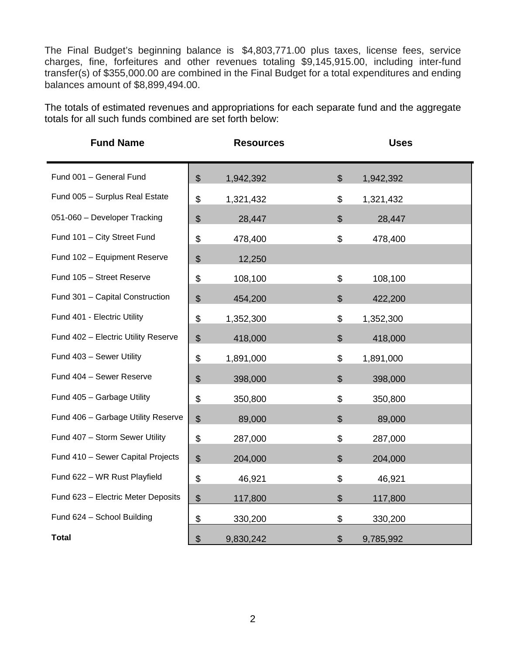The Final Budget's beginning balance is \$4,803,771.00 plus taxes, license fees, service charges, fine, forfeitures and other revenues totaling \$9,145,915.00, including inter-fund transfer(s) of \$355,000.00 are combined in the Final Budget for a total expenditures and ending balances amount of \$8,899,494.00.

The totals of estimated revenues and appropriations for each separate fund and the aggregate totals for all such funds combined are set forth below:

| <b>Fund Name</b>                    | <b>Resources</b>          | <b>Uses</b>                            |
|-------------------------------------|---------------------------|----------------------------------------|
| Fund 001 - General Fund             | \$<br>1,942,392           | $\$\$<br>1,942,392                     |
| Fund 005 - Surplus Real Estate      | \$<br>1,321,432           | $\boldsymbol{\mathsf{S}}$<br>1,321,432 |
| 051-060 - Developer Tracking        | $\frac{1}{2}$<br>28,447   | $\boldsymbol{\mathsf{S}}$<br>28,447    |
| Fund 101 - City Street Fund         | \$<br>478,400             | \$<br>478,400                          |
| Fund 102 - Equipment Reserve        | $\mathfrak{S}$<br>12,250  |                                        |
| Fund 105 - Street Reserve           | \$<br>108,100             | $\mathfrak{S}$<br>108,100              |
| Fund 301 - Capital Construction     | $\mathcal{L}$<br>454,200  | \$<br>422,200                          |
| Fund 401 - Electric Utility         | \$<br>1,352,300           | \$<br>1,352,300                        |
| Fund 402 - Electric Utility Reserve | $\mathfrak{S}$<br>418,000 | $\mathcal{L}$<br>418,000               |
| Fund 403 - Sewer Utility            | \$<br>1,891,000           | \$<br>1,891,000                        |
| Fund 404 - Sewer Reserve            | $\mathcal{L}$<br>398,000  | $\mathfrak{S}$<br>398,000              |
| Fund 405 - Garbage Utility          | \$<br>350,800             | \$<br>350,800                          |
| Fund 406 - Garbage Utility Reserve  | \$<br>89,000              | \$<br>89,000                           |
| Fund 407 - Storm Sewer Utility      | \$<br>287,000             | \$<br>287,000                          |
| Fund 410 - Sewer Capital Projects   | $\mathfrak{S}$<br>204,000 | $\mathfrak{S}$<br>204,000              |
| Fund 622 - WR Rust Playfield        | \$<br>46,921              | \$<br>46,921                           |
| Fund 623 - Electric Meter Deposits  | $\frac{1}{2}$<br>117,800  | $\$\$<br>117,800                       |
| Fund 624 - School Building          | \$<br>330,200             | \$<br>330,200                          |
| <b>Total</b>                        | \$<br>9,830,242           | \$<br>9,785,992                        |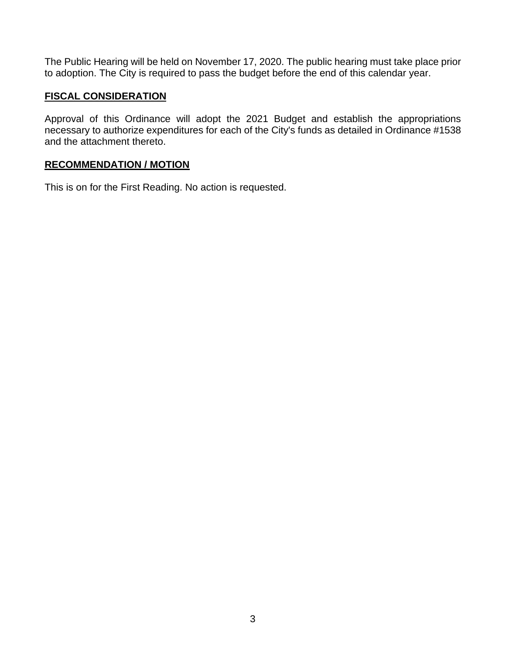The Public Hearing will be held on November 17, 2020. The public hearing must take place prior to adoption. The City is required to pass the budget before the end of this calendar year.

### **FISCAL CONSIDERATION**

Approval of this Ordinance will adopt the 2021 Budget and establish the appropriations necessary to authorize expenditures for each of the City's funds as detailed in Ordinance #1538 and the attachment thereto.

#### **RECOMMENDATION / MOTION**

This is on for the First Reading. No action is requested.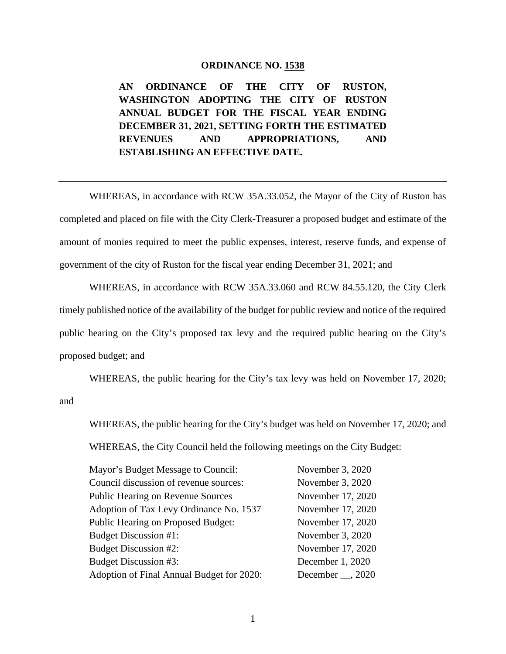#### **ORDINANCE NO. 1538**

**AN ORDINANCE OF THE CITY OF RUSTON, WASHINGTON ADOPTING THE CITY OF RUSTON ANNUAL BUDGET FOR THE FISCAL YEAR ENDING DECEMBER 31, 2021, SETTING FORTH THE ESTIMATED REVENUES AND APPROPRIATIONS, AND ESTABLISHING AN EFFECTIVE DATE.** 

WHEREAS, in accordance with RCW 35A.33.052, the Mayor of the City of Ruston has completed and placed on file with the City Clerk-Treasurer a proposed budget and estimate of the amount of monies required to meet the public expenses, interest, reserve funds, and expense of government of the city of Ruston for the fiscal year ending December 31, 2021; and

WHEREAS, in accordance with RCW 35A.33.060 and RCW 84.55.120, the City Clerk timely published notice of the availability of the budget for public review and notice of the required public hearing on the City's proposed tax levy and the required public hearing on the City's proposed budget; and

WHEREAS, the public hearing for the City's tax levy was held on November 17, 2020; and

WHEREAS, the public hearing for the City's budget was held on November 17, 2020; and WHEREAS, the City Council held the following meetings on the City Budget:

| Mayor's Budget Message to Council:        | November 3, 2020       |
|-------------------------------------------|------------------------|
| Council discussion of revenue sources:    | November 3, 2020       |
| <b>Public Hearing on Revenue Sources</b>  | November 17, 2020      |
| Adoption of Tax Levy Ordinance No. 1537   | November 17, 2020      |
| Public Hearing on Proposed Budget:        | November 17, 2020      |
| <b>Budget Discussion #1:</b>              | November 3, 2020       |
| <b>Budget Discussion #2:</b>              | November 17, 2020      |
| <b>Budget Discussion #3:</b>              | December 1, 2020       |
| Adoption of Final Annual Budget for 2020: | December $\_\_$ , 2020 |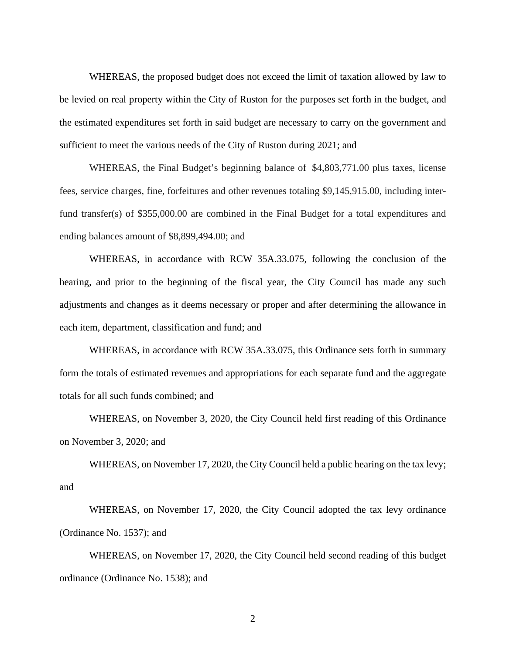WHEREAS, the proposed budget does not exceed the limit of taxation allowed by law to be levied on real property within the City of Ruston for the purposes set forth in the budget, and the estimated expenditures set forth in said budget are necessary to carry on the government and sufficient to meet the various needs of the City of Ruston during 2021; and

WHEREAS, the Final Budget's beginning balance of \$4,803,771.00 plus taxes, license fees, service charges, fine, forfeitures and other revenues totaling \$9,145,915.00, including interfund transfer(s) of \$355,000.00 are combined in the Final Budget for a total expenditures and ending balances amount of \$8,899,494.00; and

WHEREAS, in accordance with RCW 35A.33.075, following the conclusion of the hearing, and prior to the beginning of the fiscal year, the City Council has made any such adjustments and changes as it deems necessary or proper and after determining the allowance in each item, department, classification and fund; and

WHEREAS, in accordance with RCW 35A.33.075, this Ordinance sets forth in summary form the totals of estimated revenues and appropriations for each separate fund and the aggregate totals for all such funds combined; and

WHEREAS, on November 3, 2020, the City Council held first reading of this Ordinance on November 3, 2020; and

WHEREAS, on November 17, 2020, the City Council held a public hearing on the tax levy; and

WHEREAS, on November 17, 2020, the City Council adopted the tax levy ordinance (Ordinance No. 1537); and

WHEREAS, on November 17, 2020, the City Council held second reading of this budget ordinance (Ordinance No. 1538); and

2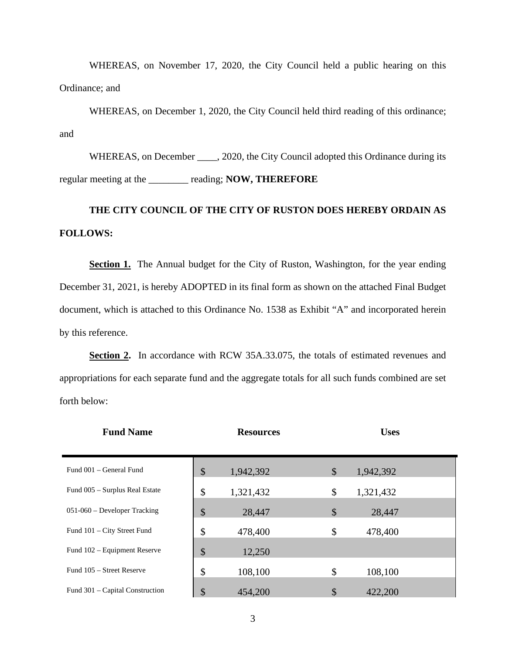WHEREAS, on November 17, 2020, the City Council held a public hearing on this Ordinance; and

WHEREAS, on December 1, 2020, the City Council held third reading of this ordinance; and

WHEREAS, on December \_\_\_\_, 2020, the City Council adopted this Ordinance during its regular meeting at the \_\_\_\_\_\_\_\_ reading; **NOW, THEREFORE**

# **THE CITY COUNCIL OF THE CITY OF RUSTON DOES HEREBY ORDAIN AS FOLLOWS:**

**Section 1.** The Annual budget for the City of Ruston, Washington, for the year ending December 31, 2021, is hereby ADOPTED in its final form as shown on the attached Final Budget document, which is attached to this Ordinance No. 1538 as Exhibit "A" and incorporated herein by this reference.

**Section 2.** In accordance with RCW 35A.33.075, the totals of estimated revenues and appropriations for each separate fund and the aggregate totals for all such funds combined are set forth below:

| <b>Fund Name</b>                |    | <b>Resources</b> |    | <b>Uses</b> |  |
|---------------------------------|----|------------------|----|-------------|--|
|                                 |    |                  |    |             |  |
| Fund 001 – General Fund         | \$ | 1,942,392        | \$ | 1,942,392   |  |
| Fund 005 - Surplus Real Estate  | \$ | 1,321,432        | \$ | 1,321,432   |  |
| $051-060$ – Developer Tracking  | \$ | 28,447           | \$ | 28,447      |  |
| Fund 101 – City Street Fund     | \$ | 478,400          | \$ | 478,400     |  |
| Fund 102 - Equipment Reserve    | \$ | 12,250           |    |             |  |
| Fund 105 – Street Reserve       | \$ | 108,100          | \$ | 108,100     |  |
| Fund 301 – Capital Construction | \$ | 454,200          | \$ | 422,200     |  |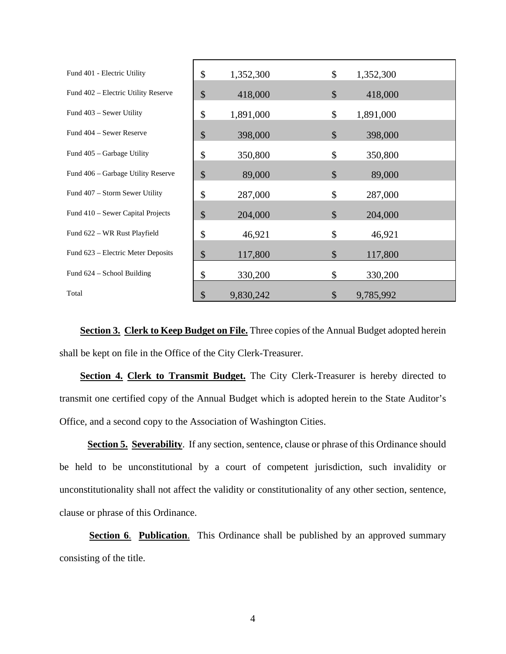| Fund 401 - Electric Utility         | \$<br>1,352,300 | \$           | 1,352,300 |  |
|-------------------------------------|-----------------|--------------|-----------|--|
| Fund 402 - Electric Utility Reserve | \$<br>418,000   | \$           | 418,000   |  |
| Fund 403 - Sewer Utility            | \$<br>1,891,000 | \$           | 1,891,000 |  |
| Fund 404 – Sewer Reserve            | \$<br>398,000   | \$           | 398,000   |  |
| Fund 405 - Garbage Utility          | \$<br>350,800   | \$           | 350,800   |  |
| Fund 406 – Garbage Utility Reserve  | \$<br>89,000    | \$           | 89,000    |  |
| Fund 407 - Storm Sewer Utility      | \$<br>287,000   | \$           | 287,000   |  |
| Fund 410 – Sewer Capital Projects   | \$<br>204,000   | \$           | 204,000   |  |
| Fund 622 – WR Rust Playfield        | \$<br>46,921    | \$           | 46,921    |  |
| Fund 623 – Electric Meter Deposits  | \$<br>117,800   | \$           | 117,800   |  |
| Fund 624 - School Building          | \$<br>330,200   | \$           | 330,200   |  |
| Total                               | \$<br>9,830,242 | $\mathbb{S}$ | 9,785,992 |  |

**Section 3. Clerk to Keep Budget on File.** Three copies of the Annual Budget adopted herein shall be kept on file in the Office of the City Clerk-Treasurer.

**Section 4. Clerk to Transmit Budget.** The City Clerk-Treasurer is hereby directed to transmit one certified copy of the Annual Budget which is adopted herein to the State Auditor's Office, and a second copy to the Association of Washington Cities.

**Section 5. Severability**. If any section, sentence, clause or phrase of this Ordinance should be held to be unconstitutional by a court of competent jurisdiction, such invalidity or unconstitutionality shall not affect the validity or constitutionality of any other section, sentence, clause or phrase of this Ordinance.

**Section 6. Publication.** This Ordinance shall be published by an approved summary consisting of the title.